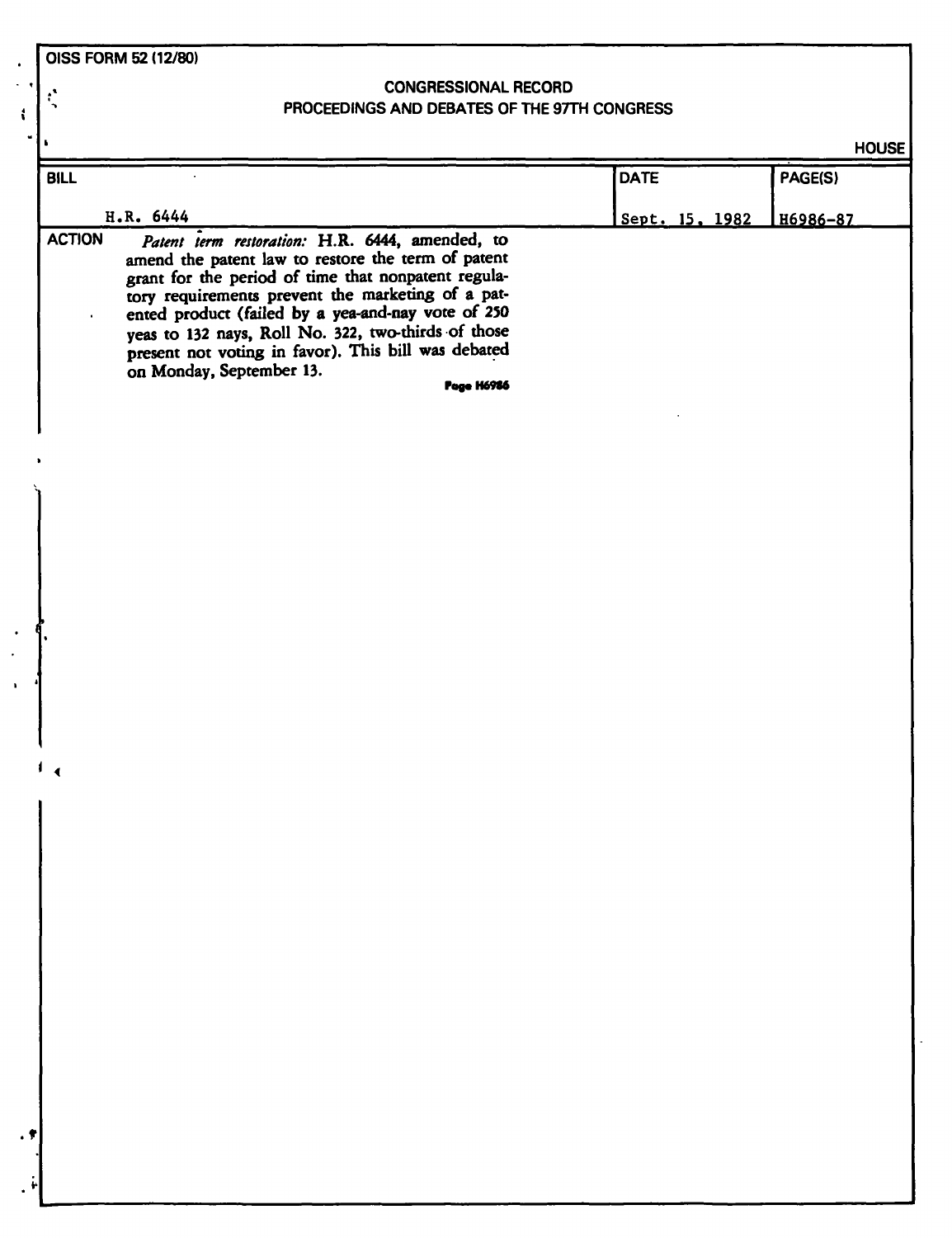**OISS FORM 52 (12/80)** 

 $\ddot{\cdot}$ 

 $\mathbf{t}$ 

## **CONGRESSIONAL RECORD PROCEEDINGS AND DEBATES OF THE 97TH CONGRESS**

**HOUSE** 

|               |                                                                                                                                                                                                                                                                                                                                                                                                                                        |                | <b>HOUSE</b> |
|---------------|----------------------------------------------------------------------------------------------------------------------------------------------------------------------------------------------------------------------------------------------------------------------------------------------------------------------------------------------------------------------------------------------------------------------------------------|----------------|--------------|
| <b>BILL</b>   |                                                                                                                                                                                                                                                                                                                                                                                                                                        | <b>DATE</b>    | PAGE(S)      |
|               | H.R. 6444                                                                                                                                                                                                                                                                                                                                                                                                                              | Sept. 15, 1982 | H6986-87     |
| <b>ACTION</b> | Patent term restoration: H.R. 6444, amended, to<br>amend the patent law to restore the term of patent<br>grant for the period of time that nonpatent regula-<br>tory requirements prevent the marketing of a pat-<br>ented product (failed by a yea-and-nay vote of 250<br>yeas to 132 nays, Roll No. 322, two-thirds of those<br>present not voting in favor). This bill was debated<br>on Monday, September 13.<br><b>Page H6986</b> |                |              |
|               |                                                                                                                                                                                                                                                                                                                                                                                                                                        |                |              |
|               |                                                                                                                                                                                                                                                                                                                                                                                                                                        |                |              |
|               |                                                                                                                                                                                                                                                                                                                                                                                                                                        |                |              |
|               |                                                                                                                                                                                                                                                                                                                                                                                                                                        |                |              |
|               |                                                                                                                                                                                                                                                                                                                                                                                                                                        |                |              |